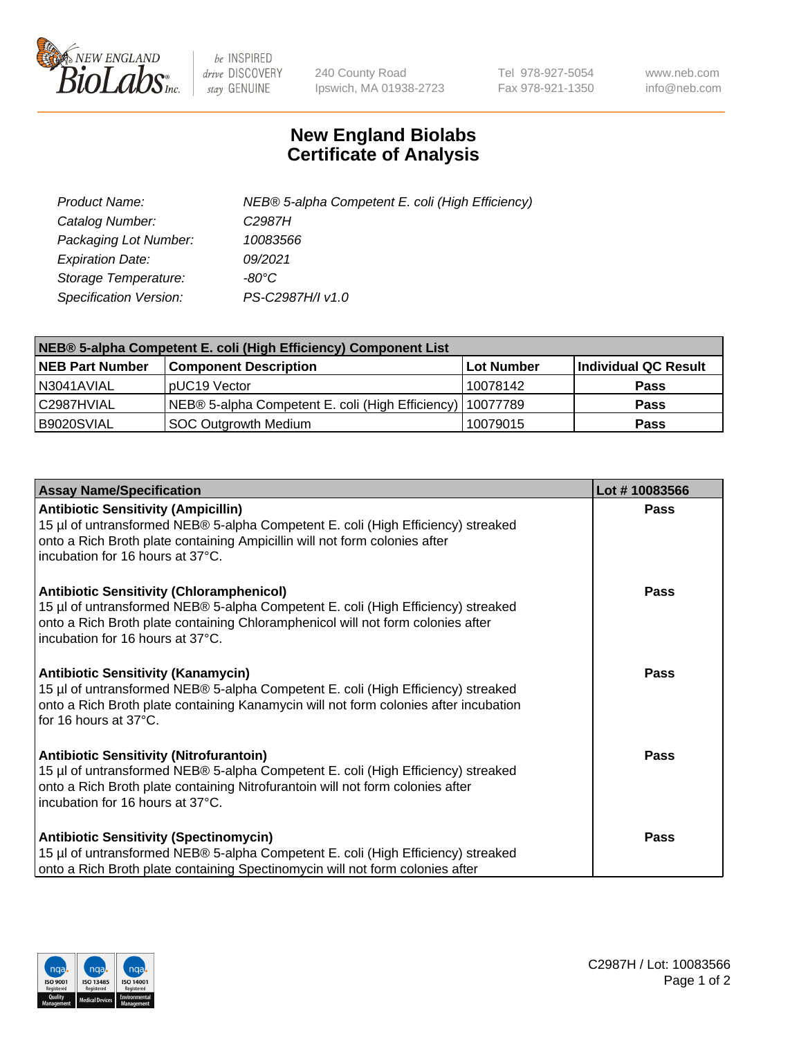

 $be$  INSPIRED drive DISCOVERY stay GENUINE

240 County Road Ipswich, MA 01938-2723 Tel 978-927-5054 Fax 978-921-1350 www.neb.com info@neb.com

## **New England Biolabs Certificate of Analysis**

| Product Name:           | NEB® 5-alpha Competent E. coli (High Efficiency) |
|-------------------------|--------------------------------------------------|
| Catalog Number:         | C <sub>2987</sub> H                              |
| Packaging Lot Number:   | 10083566                                         |
| <b>Expiration Date:</b> | 09/2021                                          |
| Storage Temperature:    | -80°C                                            |
| Specification Version:  | PS-C2987H/I v1.0                                 |

| NEB® 5-alpha Competent E. coli (High Efficiency) Component List |                                                  |            |                      |  |
|-----------------------------------------------------------------|--------------------------------------------------|------------|----------------------|--|
| <b>NEB Part Number</b>                                          | <b>Component Description</b>                     | Lot Number | Individual QC Result |  |
| N3041AVIAL                                                      | pUC19 Vector                                     | 10078142   | <b>Pass</b>          |  |
| C2987HVIAL                                                      | NEB® 5-alpha Competent E. coli (High Efficiency) | 10077789   | <b>Pass</b>          |  |
| B9020SVIAL                                                      | SOC Outgrowth Medium                             | 10079015   | <b>Pass</b>          |  |

| <b>Assay Name/Specification</b>                                                                                                                                                                                                                            | Lot #10083566 |
|------------------------------------------------------------------------------------------------------------------------------------------------------------------------------------------------------------------------------------------------------------|---------------|
| <b>Antibiotic Sensitivity (Ampicillin)</b><br>15 µl of untransformed NEB® 5-alpha Competent E. coli (High Efficiency) streaked<br>onto a Rich Broth plate containing Ampicillin will not form colonies after<br>incubation for 16 hours at 37°C.           | <b>Pass</b>   |
| <b>Antibiotic Sensitivity (Chloramphenicol)</b><br>15 µl of untransformed NEB® 5-alpha Competent E. coli (High Efficiency) streaked<br>onto a Rich Broth plate containing Chloramphenicol will not form colonies after<br>incubation for 16 hours at 37°C. | Pass          |
| Antibiotic Sensitivity (Kanamycin)<br>15 µl of untransformed NEB® 5-alpha Competent E. coli (High Efficiency) streaked<br>onto a Rich Broth plate containing Kanamycin will not form colonies after incubation<br>for 16 hours at 37°C.                    | Pass          |
| <b>Antibiotic Sensitivity (Nitrofurantoin)</b><br>15 µl of untransformed NEB® 5-alpha Competent E. coli (High Efficiency) streaked<br>onto a Rich Broth plate containing Nitrofurantoin will not form colonies after<br>incubation for 16 hours at 37°C.   | <b>Pass</b>   |
| <b>Antibiotic Sensitivity (Spectinomycin)</b><br>15 µl of untransformed NEB® 5-alpha Competent E. coli (High Efficiency) streaked<br>onto a Rich Broth plate containing Spectinomycin will not form colonies after                                         | Pass          |